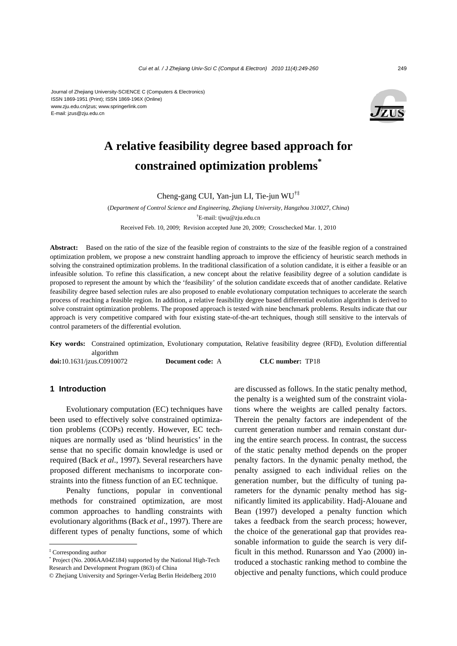

# **A relative feasibility degree based approach for constrained optimization problems\***

Cheng-gang CUI, Yan-jun LI, Tie-jun WU†‡

(*Department of Control Science and Engineering, Zhejiang University, Hangzhou 310027, China*) † E-mail: tjwu@zju.edu.cn Received Feb. 10, 2009; Revision accepted June 20, 2009; Crosschecked Mar. 1, 2010

Abstract: Based on the ratio of the size of the feasible region of constraints to the size of the feasible region of a constrained optimization problem, we propose a new constraint handling approach to improve the efficiency of heuristic search methods in solving the constrained optimization problems. In the traditional classification of a solution candidate, it is either a feasible or an infeasible solution. To refine this classification, a new concept about the relative feasibility degree of a solution candidate is proposed to represent the amount by which the 'feasibility' of the solution candidate exceeds that of another candidate. Relative feasibility degree based selection rules are also proposed to enable evolutionary computation techniques to accelerate the search process of reaching a feasible region. In addition, a relative feasibility degree based differential evolution algorithm is derived to solve constraint optimization problems. The proposed approach is tested with nine benchmark problems. Results indicate that our approach is very competitive compared with four existing state-of-the-art techniques, though still sensitive to the intervals of control parameters of the differential evolution.

**Key words:** Constrained optimization, Evolutionary computation, Relative feasibility degree (RFD), Evolution differential algorithm **doi:**10.1631/jzus.C0910072 **Document code:** A **CLC number:** TP18

# **1 Introduction**

Evolutionary computation (EC) techniques have been used to effectively solve constrained optimization problems (COPs) recently. However, EC techniques are normally used as 'blind heuristics' in the sense that no specific domain knowledge is used or required (Back *et al*., 1997). Several researchers have proposed different mechanisms to incorporate constraints into the fitness function of an EC technique.

Penalty functions, popular in conventional methods for constrained optimization, are most common approaches to handling constraints with evolutionary algorithms (Back *et al*., 1997). There are different types of penalty functions, some of which

are discussed as follows. In the static penalty method, the penalty is a weighted sum of the constraint violations where the weights are called penalty factors. Therein the penalty factors are independent of the current generation number and remain constant during the entire search process. In contrast, the success of the static penalty method depends on the proper penalty factors. In the dynamic penalty method, the penalty assigned to each individual relies on the generation number, but the difficulty of tuning parameters for the dynamic penalty method has significantly limited its applicability. Hadj-Alouane and Bean (1997) developed a penalty function which takes a feedback from the search process; however, the choice of the generational gap that provides reasonable information to guide the search is very difficult in this method. Runarsson and Yao (2000) introduced a stochastic ranking method to combine the objective and penalty functions, which could produce

<sup>‡</sup> Corresponding author

<sup>\*</sup> Project (No. 2006AA04Z184) supported by the National High-Tech Research and Development Program (863) of China

<sup>©</sup> Zhejiang University and Springer-Verlag Berlin Heidelberg 2010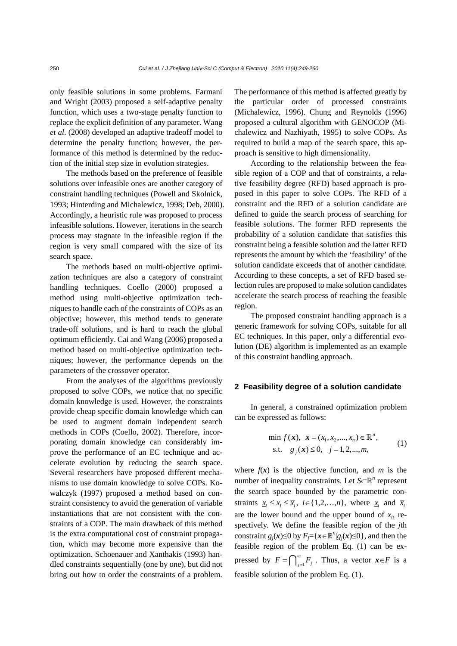only feasible solutions in some problems. Farmani and Wright (2003) proposed a self-adaptive penalty function, which uses a two-stage penalty function to replace the explicit definition of any parameter. Wang *et al*. (2008) developed an adaptive tradeoff model to determine the penalty function; however, the performance of this method is determined by the reduction of the initial step size in evolution strategies.

The methods based on the preference of feasible solutions over infeasible ones are another category of constraint handling techniques (Powell and Skolnick, 1993; Hinterding and Michalewicz, 1998; Deb, 2000). Accordingly, a heuristic rule was proposed to process infeasible solutions. However, iterations in the search process may stagnate in the infeasible region if the region is very small compared with the size of its search space.

The methods based on multi-objective optimization techniques are also a category of constraint handling techniques. Coello (2000) proposed a method using multi-objective optimization techniques to handle each of the constraints of COPs as an objective; however, this method tends to generate trade-off solutions, and is hard to reach the global optimum efficiently. Cai and Wang (2006) proposed a method based on multi-objective optimization techniques; however, the performance depends on the parameters of the crossover operator.

From the analyses of the algorithms previously proposed to solve COPs, we notice that no specific domain knowledge is used. However, the constraints provide cheap specific domain knowledge which can be used to augment domain independent search methods in COPs (Coello, 2002). Therefore, incorporating domain knowledge can considerably improve the performance of an EC technique and accelerate evolution by reducing the search space. Several researchers have proposed different mechanisms to use domain knowledge to solve COPs. Kowalczyk (1997) proposed a method based on constraint consistency to avoid the generation of variable instantiations that are not consistent with the constraints of a COP. The main drawback of this method is the extra computational cost of constraint propagation, which may become more expensive than the optimization. Schoenauer and Xanthakis (1993) handled constraints sequentially (one by one), but did not bring out how to order the constraints of a problem.

The performance of this method is affected greatly by the particular order of processed constraints (Michalewicz, 1996). Chung and Reynolds (1996) proposed a cultural algorithm with GENOCOP (Michalewicz and Nazhiyath, 1995) to solve COPs. As required to build a map of the search space, this approach is sensitive to high dimensionality.

According to the relationship between the feasible region of a COP and that of constraints, a relative feasibility degree (RFD) based approach is proposed in this paper to solve COPs. The RFD of a constraint and the RFD of a solution candidate are defined to guide the search process of searching for feasible solutions. The former RFD represents the probability of a solution candidate that satisfies this constraint being a feasible solution and the latter RFD represents the amount by which the 'feasibility' of the solution candidate exceeds that of another candidate. According to these concepts, a set of RFD based selection rules are proposed to make solution candidates accelerate the search process of reaching the feasible region.

The proposed constraint handling approach is a generic framework for solving COPs, suitable for all EC techniques. In this paper, only a differential evolution (DE) algorithm is implemented as an example of this constraint handling approach.

#### **2 Feasibility degree of a solution candidate**

In general, a constrained optimization problem can be expressed as follows:

$$
\min f(\mathbf{x}), \ \mathbf{x} = (x_1, x_2, ..., x_n) \in \mathbb{R}^n, \text{s.t.} \quad g_j(\mathbf{x}) \le 0, \ \ j = 1, 2, ..., m,
$$
\n(1)

where  $f(x)$  is the objective function, and *m* is the number of inequality constraints. Let *S*⊂ℝ<sup>*n*</sup> represent the search space bounded by the parametric constraints  $x_i \leq x_i \leq \overline{x}_i$ ,  $i \in \{1,2,...,n\}$ , where  $x_i$  and  $\overline{x}_i$ are the lower bound and the upper bound of  $x_i$ , respectively. We define the feasible region of the *j*th constraint  $g_j(x) \le 0$  by  $F_j = \{x \in \mathbb{R}^n | g_j(x) \le 0\}$ , and then the feasible region of the problem Eq. (1) can be expressed by  $F = \bigcap_{j=1}^m$  $F = \bigcap_{j=1}^{m} F_j$ . Thus, a vector  $x \in F$  is a feasible solution of the problem Eq. (1).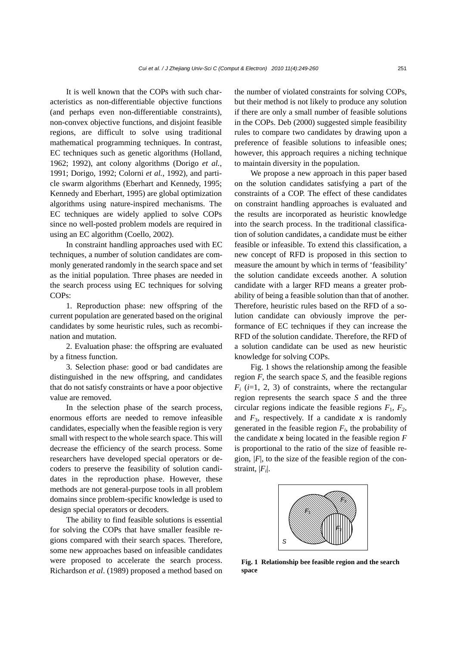It is well known that the COPs with such characteristics as non-differentiable objective functions (and perhaps even non-differentiable constraints), non-convex objective functions, and disjoint feasible regions, are difficult to solve using traditional mathematical programming techniques. In contrast, EC techniques such as genetic algorithms (Holland, 1962; 1992), ant colony algorithms (Dorigo *et al.*, 1991; Dorigo, 1992; Colorni *et al.*, 1992), and particle swarm algorithms (Eberhart and Kennedy, 1995; Kennedy and Eberhart, 1995) are global optimization algorithms using nature-inspired mechanisms. The EC techniques are widely applied to solve COPs since no well-posted problem models are required in using an EC algorithm (Coello, 2002).

In constraint handling approaches used with EC techniques, a number of solution candidates are commonly generated randomly in the search space and set as the initial population. Three phases are needed in the search process using EC techniques for solving COPs:

1. Reproduction phase: new offspring of the current population are generated based on the original candidates by some heuristic rules, such as recombination and mutation.

2. Evaluation phase: the offspring are evaluated by a fitness function.

3. Selection phase: good or bad candidates are distinguished in the new offspring, and candidates that do not satisfy constraints or have a poor objective value are removed.

In the selection phase of the search process, enormous efforts are needed to remove infeasible candidates, especially when the feasible region is very small with respect to the whole search space. This will decrease the efficiency of the search process. Some researchers have developed special operators or decoders to preserve the feasibility of solution candidates in the reproduction phase. However, these methods are not general-purpose tools in all problem domains since problem-specific knowledge is used to design special operators or decoders.

The ability to find feasible solutions is essential for solving the COPs that have smaller feasible regions compared with their search spaces. Therefore, some new approaches based on infeasible candidates were proposed to accelerate the search process. Richardson *et al*. (1989) proposed a method based on the number of violated constraints for solving COPs, but their method is not likely to produce any solution if there are only a small number of feasible solutions in the COPs. Deb (2000) suggested simple feasibility rules to compare two candidates by drawing upon a preference of feasible solutions to infeasible ones; however, this approach requires a niching technique to maintain diversity in the population.

We propose a new approach in this paper based on the solution candidates satisfying a part of the constraints of a COP. The effect of these candidates on constraint handling approaches is evaluated and the results are incorporated as heuristic knowledge into the search process. In the traditional classification of solution candidates, a candidate must be either feasible or infeasible. To extend this classification, a new concept of RFD is proposed in this section to measure the amount by which in terms of 'feasibility' the solution candidate exceeds another. A solution candidate with a larger RFD means a greater probability of being a feasible solution than that of another. Therefore, heuristic rules based on the RFD of a solution candidate can obviously improve the performance of EC techniques if they can increase the RFD of the solution candidate. Therefore, the RFD of a solution candidate can be used as new heuristic knowledge for solving COPs.

Fig. 1 shows the relationship among the feasible region *F*, the search space *S*, and the feasible regions  $F_i$  ( $i=1, 2, 3$ ) of constraints, where the rectangular region represents the search space *S* and the three circular regions indicate the feasible regions  $F_1$ ,  $F_2$ , and  $F_3$ , respectively. If a candidate  $x$  is randomly generated in the feasible region  $F_i$ , the probability of the candidate *x* being located in the feasible region *F* is proportional to the ratio of the size of feasible region, *|F*|, to the size of the feasible region of the constraint, |*Fi*|.



**Fig. 1 Relationship bee feasible region and the search space**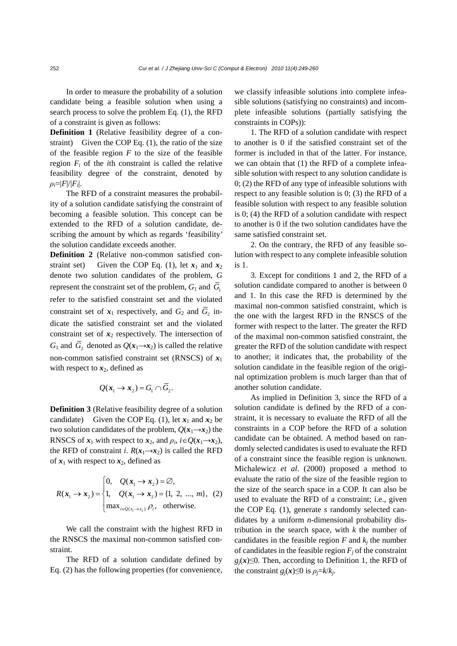In order to measure the probability of a solution candidate being a feasible solution when using a search process to solve the problem Eq. (1), the RFD of a constraint is given as follows:

**Definition 1** (Relative feasibility degree of a constraint) Given the COP Eq.  $(1)$ , the ratio of the size of the feasible region  $F$  to the size of the feasible region  $F_i$  of the *i*th constraint is called the relative feasibility degree of the constraint, denoted by  $\rho_i = |F|/|F_i|$ .

The RFD of a constraint measures the probability of a solution candidate satisfying the constraint of becoming a feasible solution. This concept can be extended to the RFD of a solution candidate, describing the amount by which as regards 'feasibility' the solution candidate exceeds another.

**Definition 2** (Relative non-common satisfied constraint set) Given the COP Eq. (1), let  $x_1$  and  $x_2$ denote two solution candidates of the problem, *G*  represent the constraint set of the problem,  $G_1$  and  $\overline{G}_1$ refer to the satisfied constraint set and the violated constraint set of  $x_1$  respectively, and  $G_2$  and  $\overline{G}_2$  indicate the satisfied constraint set and the violated constraint set of  $x_2$  respectively. The intersection of *G*<sub>1</sub> and  $\overline{G}_2$  denoted as  $Q(x_1 \rightarrow x_2)$  is called the relative non-common satisfied constraint set (RNSCS) of  $x_1$ with respect to  $x_2$ , defined as

$$
Q(x_1 \rightarrow x_2) = G_1 \cap \overline{G}_2.
$$

**Definition 3** (Relative feasibility degree of a solution candidate) Given the COP Eq. (1), let  $x_1$  and  $x_2$  be two solution candidates of the problem,  $Q(x_1 \rightarrow x_2)$  the RNSCS of  $x_1$  with respect to  $x_2$ , and  $\rho_i$ ,  $i \in Q(x_1 \rightarrow x_2)$ , the RFD of constraint *i*.  $R(x_1 \rightarrow x_2)$  is called the RFD of  $x_1$  with respect to  $x_2$ , defined as

$$
R(x_1 \to x_2) = \begin{cases} 0, & Q(x_1 \to x_2) = \emptyset, \\ 1, & Q(x_1 \to x_2) = \{1, 2, ..., m\}, \\ \max_{i \in Q(x_1 \to x_2)} \rho_i, & \text{otherwise.} \end{cases}
$$
 (2)

We call the constraint with the highest RFD in the RNSCS the maximal non-common satisfied constraint.

The RFD of a solution candidate defined by Eq. (2) has the following properties (for convenience, we classify infeasible solutions into complete infeasible solutions (satisfying no constraints) and incomplete infeasible solutions (partially satisfying the constraints in COPs)):

1. The RFD of a solution candidate with respect to another is 0 if the satisfied constraint set of the former is included in that of the latter. For instance, we can obtain that (1) the RFD of a complete infeasible solution with respect to any solution candidate is 0; (2) the RFD of any type of infeasible solutions with respect to any feasible solution is 0; (3) the RFD of a feasible solution with respect to any feasible solution is 0; (4) the RFD of a solution candidate with respect to another is 0 if the two solution candidates have the same satisfied constraint set.

2. On the contrary, the RFD of any feasible solution with respect to any complete infeasible solution is 1.

3. Except for conditions 1 and 2, the RFD of a solution candidate compared to another is between 0 and 1. In this case the RFD is determined by the maximal non-common satisfied constraint, which is the one with the largest RFD in the RNSCS of the former with respect to the latter. The greater the RFD of the maximal non-common satisfied constraint, the greater the RFD of the solution candidate with respect to another; it indicates that, the probability of the solution candidate in the feasible region of the original optimization problem is much larger than that of another solution candidate.

As implied in Definition 3, since the RFD of a solution candidate is defined by the RFD of a constraint, it is necessary to evaluate the RFD of all the constraints in a COP before the RFD of a solution candidate can be obtained. A method based on randomly selected candidates is used to evaluate the RFD of a constraint since the feasible region is unknown. Michalewicz *et al*. (2000) proposed a method to evaluate the ratio of the size of the feasible region to the size of the search space in a COP. It can also be used to evaluate the RFD of a constraint; i.e., given the COP Eq. (1), generate *s* randomly selected candidates by a uniform *n*-dimensional probability distribution in the search space, with *k* the number of candidates in the feasible region  $F$  and  $k_i$  the number of candidates in the feasible region  $F_i$  of the constraint  $g_i(x) \leq 0$ . Then, according to Definition 1, the RFD of the constraint  $g_i(x) \leq 0$  is  $\rho_i = k/k_i$ .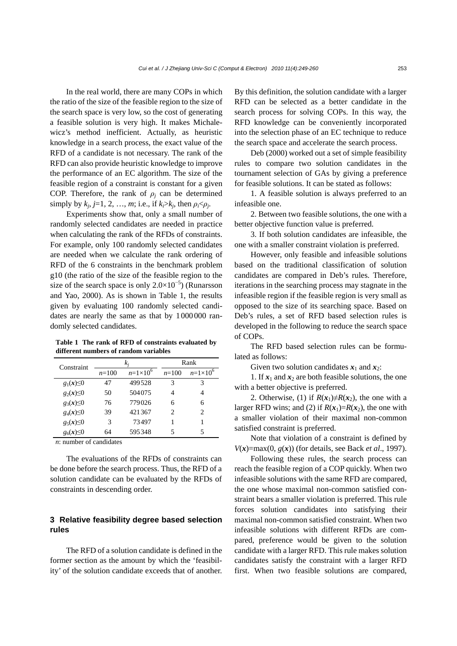In the real world, there are many COPs in which the ratio of the size of the feasible region to the size of the search space is very low, so the cost of generating a feasible solution is very high. It makes Michalewicz's method inefficient. Actually, as heuristic knowledge in a search process, the exact value of the RFD of a candidate is not necessary. The rank of the RFD can also provide heuristic knowledge to improve the performance of an EC algorithm. The size of the feasible region of a constraint is constant for a given COP. Therefore, the rank of  $\rho_i$  can be determined simply by  $k_i$ ,  $j=1, 2, ..., m$ ; i.e., if  $k_i > k_j$ , then  $\rho_i < \rho_j$ .

Experiments show that, only a small number of randomly selected candidates are needed in practice when calculating the rank of the RFDs of constraints. For example, only 100 randomly selected candidates are needed when we calculate the rank ordering of RFD of the 6 constraints in the benchmark problem g10 (the ratio of the size of the feasible region to the size of the search space is only  $2.0 \times 10^{-5}$ ) (Runarsson and Yao, 2000). As is shown in Table 1, the results given by evaluating 100 randomly selected candidates are nearly the same as that by  $1000000$  randomly selected candidates.

**Table 1 The rank of RFD of constraints evaluated by different numbers of random variables** 

| Constraint      | $k_i$   |                   | Rank    |                   |  |
|-----------------|---------|-------------------|---------|-------------------|--|
|                 | $n=100$ | $n=1\times10^{6}$ | $n=100$ | $n=1\times10^{6}$ |  |
| $g_1(x) \leq 0$ | 47      | 499528            | 3       | 3                 |  |
| $g_2(x) \leq 0$ | 50      | 504075            |         |                   |  |
| $g_3(x) \le 0$  | 76      | 779026            | 6       | 6                 |  |
| $g_4(x) \le 0$  | 39      | 421367            | 2       | $\mathfrak{D}$    |  |
| $g_5(x) \le 0$  | 3       | 73497             |         |                   |  |
| $g_6(x) \le 0$  | 64      | 595348            | 5       |                   |  |

*n*: number of candidates

The evaluations of the RFDs of constraints can be done before the search process. Thus, the RFD of a solution candidate can be evaluated by the RFDs of constraints in descending order.

# **3 Relative feasibility degree based selection rules**

The RFD of a solution candidate is defined in the former section as the amount by which the 'feasibility' of the solution candidate exceeds that of another. By this definition, the solution candidate with a larger RFD can be selected as a better candidate in the search process for solving COPs. In this way, the RFD knowledge can be conveniently incorporated into the selection phase of an EC technique to reduce the search space and accelerate the search process.

Deb (2000) worked out a set of simple feasibility rules to compare two solution candidates in the tournament selection of GAs by giving a preference for feasible solutions. It can be stated as follows:

1. A feasible solution is always preferred to an infeasible one.

2. Between two feasible solutions, the one with a better objective function value is preferred.

3. If both solution candidates are infeasible, the one with a smaller constraint violation is preferred.

However, only feasible and infeasible solutions based on the traditional classification of solution candidates are compared in Deb's rules. Therefore, iterations in the searching process may stagnate in the infeasible region if the feasible region is very small as opposed to the size of its searching space. Based on Deb's rules, a set of RFD based selection rules is developed in the following to reduce the search space of COPs.

The RFD based selection rules can be formulated as follows:

Given two solution candidates  $x_1$  and  $x_2$ :

1. If  $x_1$  and  $x_2$  are both feasible solutions, the one with a better objective is preferred.

2. Otherwise, (1) if  $R(x_1) \neq R(x_2)$ , the one with a larger RFD wins; and (2) if  $R(x_1)=R(x_2)$ , the one with a smaller violation of their maximal non-common satisfied constraint is preferred.

Note that violation of a constraint is defined by  $V(x) = max(0, g(x))$  (for details, see Back *et al.*, 1997).

Following these rules, the search process can reach the feasible region of a COP quickly. When two infeasible solutions with the same RFD are compared, the one whose maximal non-common satisfied constraint bears a smaller violation is preferred. This rule forces solution candidates into satisfying their maximal non-common satisfied constraint. When two infeasible solutions with different RFDs are compared, preference would be given to the solution candidate with a larger RFD. This rule makes solution candidates satisfy the constraint with a larger RFD first. When two feasible solutions are compared,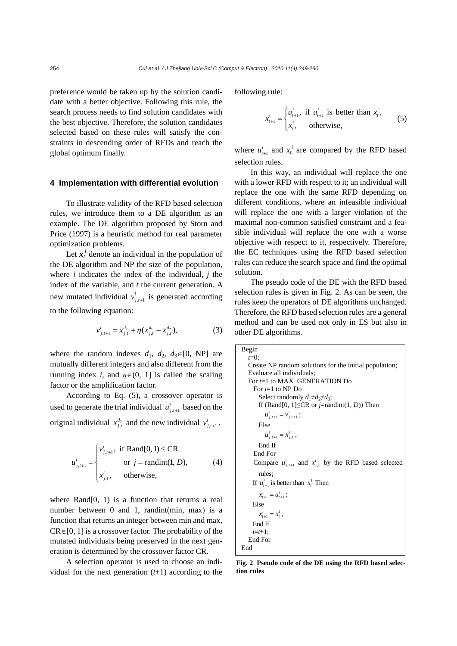preference would be taken up by the solution candidate with a better objective. Following this rule, the search process needs to find solution candidates with the best objective. Therefore, the solution candidates selected based on these rules will satisfy the constraints in descending order of RFDs and reach the global optimum finally.

### **4 Implementation with differential evolution**

To illustrate validity of the RFD based selection rules, we introduce them to a DE algorithm as an example. The DE algorithm proposed by Storn and Price (1997) is a heuristic method for real parameter optimization problems.

Let  $x_t$ <sup>*i*</sup> denote an individual in the population of the DE algorithm and NP the size of the population, where *i* indicates the index of the individual, *j* the index of the variable, and *t* the current generation. A new mutated individual  $v_{j,t+1}^i$  is generated according to the following equation:

$$
v_{j,t+1}^i = x_{j,t}^{d_3} + \eta (x_{j,t}^{d_1} - x_{j,t}^{d_2}),
$$
 (3)

where the random indexes  $d_1$ ,  $d_2$ ,  $d_3 \in [0, NP]$  are mutually different integers and also different from the running index *i*, and  $n \in (0, 1]$  is called the scaling factor or the amplification factor.

According to Eq. (5), a crossover operator is used to generate the trial individual  $u_{j,t+1}^i$  based on the original individual  $x_{j,t}^{d_3}$  and the new individual  $v_{j,t+1}^i$ .

$$
u_{j,t+1}^{i} = \begin{cases} v_{j,t+1}^{i}, & \text{if Rand}[0,1) \leq \text{CR} \\ \text{or } j = \text{randint}(1, D), \\ x_{j,t}^{i}, & \text{otherwise,} \end{cases}
$$
 (4)

where  $Rand[0, 1)$  is a function that returns a real number between 0 and 1, randint(min, max) is a function that returns an integer between min and max,  $CR \in [0, 1]$  is a crossover factor. The probability of the mutated individuals being preserved in the next generation is determined by the crossover factor CR.

A selection operator is used to choose an individual for the next generation  $(t+1)$  according to the following rule:

$$
x_{t+1}^i = \begin{cases} u_{t+1}^i, & \text{if } u_{t+1}^i \text{ is better than } x_t^i, \\ x_t^i, & \text{otherwise,} \end{cases}
$$
 (5)

where  $u_{t+1}^i$  and  $x_t^i$  are compared by the RFD based selection rules.

In this way, an individual will replace the one with a lower RFD with respect to it; an individual will replace the one with the same RFD depending on different conditions, where an infeasible individual will replace the one with a larger violation of the maximal non-common satisfied constraint and a feasible individual will replace the one with a worse objective with respect to it, respectively. Therefore, the EC techniques using the RFD based selection rules can reduce the search space and find the optimal solution.

The pseudo code of the DE with the RFD based selection rules is given in Fig. 2. As can be seen, the rules keep the operators of DE algorithms unchanged. Therefore, the RFD based selection rules are a general method and can be used not only in ES but also in other DE algorithms.

```
Begin 
   t=0; 
   Create NP random solutions for the initial population; 
   Evaluate all individuals; 
   For t=1 to MAX_GENERATION Do 
      For i=1 to NP Do 
       Select randomly d_1 \neq d_2 \neq d_3;
       If (Rand[0, 1]≤CR or j=randint(1, D)) Then
   u^{i}_{j,t+1} = v^{i}_{j,t+1};
        Else 
   u^{i}_{j,t+1} = x^{i}_{j,t};
        End If 
      End For 
   Compare u^i_{j,t+1} and x^i_{j,t} by the RFD based selected
       rules; 
   If u_{t+1}^i is better than x_t^i Then
   x_{t+1}^i = u_{t+1}^i;
     Else 
   x_{t+1}^i = x_t^i;
     End If 
     t=t+1; 
   End For 
End
```
**Fig. 2 Pseudo code of the DE using the RFD based selection rules**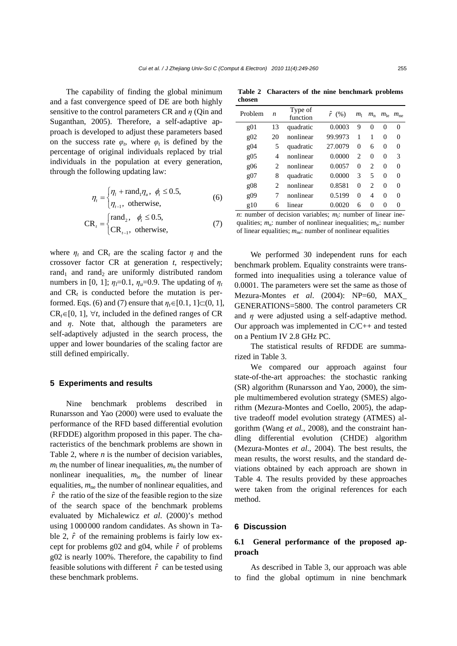The capability of finding the global minimum and a fast convergence speed of DE are both highly sensitive to the control parameters CR and *η* (Qin and Suganthan, 2005). Therefore, a self-adaptive approach is developed to adjust these parameters based on the success rate  $\varphi_t$ , where  $\varphi_t$  is defined by the percentage of original individuals replaced by trial individuals in the population at every generation, through the following updating law:

$$
\eta_{t} = \begin{cases} \eta_{t} + \text{rand}_{1}\eta_{u}, & \phi_{t} \leq 0.5, \\ \eta_{t-1}, & \text{otherwise,} \end{cases}
$$
 (6)

$$
CR_{t} =\begin{cases} rand_{2}, & \phi_{t} \leq 0.5, \\ CR_{t-1}, & otherwise, \end{cases}
$$
 (7)

where  $\eta_t$  and CR<sub>t</sub> are the scaling factor  $\eta$  and the crossover factor CR at generation *t*, respectively;  $rand_1$  and  $rand_2$  are uniformly distributed random numbers in [0, 1];  $\eta_l$ =0.1,  $\eta_u$ =0.9. The updating of  $\eta_t$ and  $CR<sub>t</sub>$  is conducted before the mutation is performed. Eqs. (6) and (7) ensure that  $\eta_t \in [0.1, 1] \subset (0, 1]$ ,  $CR_t \in [0, 1]$ ,  $\forall t$ , included in the defined ranges of CR and  $\eta$ . Note that, although the parameters are self-adaptively adjusted in the search process, the upper and lower boundaries of the scaling factor are still defined empirically.

## **5 Experiments and results**

Nine benchmark problems described in Runarsson and Yao (2000) were used to evaluate the performance of the RFD based differential evolution (RFDDE) algorithm proposed in this paper. The characteristics of the benchmark problems are shown in Table 2, where *n* is the number of decision variables,  $m<sub>l</sub>$  the number of linear inequalities,  $m<sub>n</sub>$  the number of nonlinear inequalities,  $m<sub>le</sub>$  the number of linear equalities,  $m_{\text{ne}}$  the number of nonlinear equalities, and  $\hat{r}$  the ratio of the size of the feasible region to the size of the search space of the benchmark problems evaluated by Michalewicz *et al*. (2000)'s method using 1000000 random candidates. As shown in Table 2,  $\hat{r}$  of the remaining problems is fairly low except for problems g02 and g04, while  $\hat{r}$  of problems g02 is nearly 100%. Therefore, the capability to find feasible solutions with different  $\hat{r}$  can be tested using these benchmark problems.

**Table 2 Characters of the nine benchmark problems chosen** 

| Problem | n  | Type of<br>function | $\hat{r}$ (%) | m <sub>1</sub> | $m_{\rm n}$ | $m_{\rm le}$ | $m_{\rm ne}$ |
|---------|----|---------------------|---------------|----------------|-------------|--------------|--------------|
| g01     | 13 | quadratic           | 0.0003        | 9              | $\Omega$    | $\Omega$     | 0            |
| g(0)    | 20 | nonlinear           | 99.9973       | 1              | 1           | $\Omega$     | 0            |
| g04     | 5  | quadratic           | 27.0079       | 0              | 6           | $\Omega$     | 0            |
| g(05)   | 4  | nonlinear           | 0.0000        | $\mathfrak{D}$ | $\theta$    | $\Omega$     | 3            |
| g06     | 2  | nonlinear           | 0.0057        | $\theta$       | 2           | $\Omega$     | 0            |
| g07     | 8  | quadratic           | 0.0000        | 3              | 5           | $\Omega$     | 0            |
| g08     | 2  | nonlinear           | 0.8581        | 0              | 2           | $\Omega$     | 0            |
| g09     |    | nonlinear           | 0.5199        | 0              | 4           | $\Omega$     | 0            |
| g10     | 6  | linear              | 0.0020        | 6              | 0           | 0            | 0            |

*n*: number of decision variables;  $m<sub>1</sub>$ : number of linear inequalities;  $m_n$ : number of nonlinear inequalities;  $m_{\text{le}}$ : number of linear equalities;  $m<sub>ne</sub>$ : number of nonlinear equalities

We performed 30 independent runs for each benchmark problem. Equality constraints were transformed into inequalities using a tolerance value of 0.0001. The parameters were set the same as those of Mezura-Montes *et al*. (2004): NP=60, MAX\_ GENERATIONS=5800. The control parameters CR and *η* were adjusted using a self-adaptive method. Our approach was implemented in C/C++ and tested on a Pentium IV 2.8 GHz PC.

The statistical results of RFDDE are summarized in Table 3.

We compared our approach against four state-of-the-art approaches: the stochastic ranking (SR) algorithm (Runarsson and Yao, 2000), the simple multimembered evolution strategy (SMES) algorithm (Mezura-Montes and Coello, 2005), the adaptive tradeoff model evolution strategy (ATMES) algorithm (Wang *et al.*, 2008), and the constraint handling differential evolution (CHDE) algorithm (Mezura-Montes *et al*., 2004). The best results, the mean results, the worst results, and the standard deviations obtained by each approach are shown in Table 4. The results provided by these approaches were taken from the original references for each method.

## **6 Discussion**

# **6.1 General performance of the proposed approach**

As described in Table 3, our approach was able to find the global optimum in nine benchmark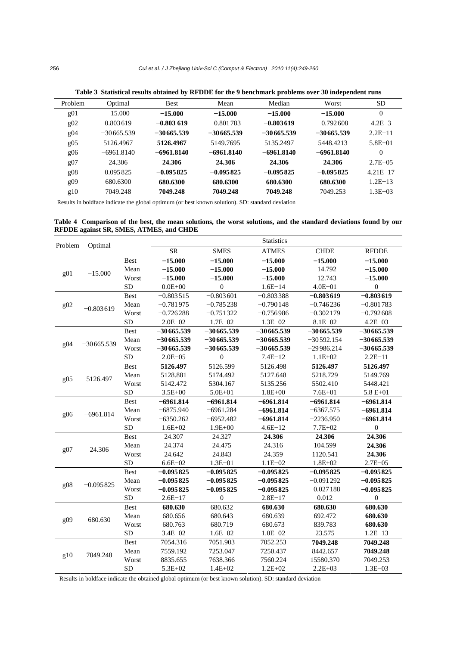| Problem | Optimal      | <b>Best</b>  | Mean         | Median       | Worst        | SD.          |
|---------|--------------|--------------|--------------|--------------|--------------|--------------|
| g(0)    | $-15,000$    | $-15.000$    | $-15.000$    | $-15.000$    | $-15.000$    | $\theta$     |
| g(0)    | 0.803619     | $-0.803619$  | $-0.801783$  | $-0.803619$  | $-0.792608$  | $4.2E - 3$   |
| g04     | $-30665.539$ | $-30665.539$ | $-30665.539$ | $-30665.539$ | $-30665.539$ | $2.2E-11$    |
| g(05)   | 5126.4967    | 5126.4967    | 5149.7695    | 5135.2497    | 5448.4213    | $5.8E + 01$  |
| g06     | $-6961.8140$ | $-6961.8140$ | $-6961.8140$ | $-6961.8140$ | $-6961.8140$ | $\Omega$     |
| g07     | 24.306       | 24.306       | 24.306       | 24.306       | 24.306       | $2.7E - 05$  |
| g08     | 0.095825     | $-0.095825$  | $-0.095825$  | $-0.095825$  | $-0.095825$  | $4.21E - 17$ |
| g(0)    | 680.6300     | 680.6300     | 680.6300     | 680.6300     | 680.6300     | $1.2E-13$    |
| g10     | 7049.248     | 7049.248     | 7049.248     | 7049.248     | 7049.253     | $1.3E - 03$  |

**Table 3 Statistical results obtained by RFDDE for the 9 benchmark problems over 30 independent runs** 

Results in boldface indicate the global optimum (or best known solution). SD: standard deviation

**Table 4 Comparison of the best, the mean solutions, the worst solutions, and the standard deviations found by our RFDDE against SR, SMES, ATMES, and CHDE** 

| Problem          | Optimal      |             |              |                  | <b>Statistics</b> |              |                  |
|------------------|--------------|-------------|--------------|------------------|-------------------|--------------|------------------|
|                  |              |             | <b>SR</b>    | <b>SMES</b>      | <b>ATMES</b>      | <b>CHDE</b>  | <b>RFDDE</b>     |
| $-15.000$<br>g01 |              | <b>Best</b> | $-15.000$    | $-15.000$        | $-15.000$         | $-15.000$    | $-15.000$        |
|                  |              | Mean        | $-15.000$    | $-15.000$        | $-15.000$         | $-14.792$    | $-15.000$        |
|                  |              | Worst       | $-15.000$    | $-15.000$        | $-15.000$         | $-12.743$    | $-15.000$        |
|                  |              | <b>SD</b>   | $0.0E + 00$  | $\boldsymbol{0}$ | $1.6E-14$         | $4.0E - 01$  | $\boldsymbol{0}$ |
| g02              |              | Best        | $-0.803515$  | $-0.803601$      | $-0.803388$       | $-0.803619$  | $-0.803619$      |
|                  | $-0.803619$  | Mean        | $-0.781975$  | $-0.785238$      | $-0.790148$       | $-0.746236$  | $-0.801783$      |
|                  |              | Worst       | $-0.726288$  | $-0.751322$      | $-0.756986$       | $-0.302179$  | $-0.792608$      |
|                  |              | <b>SD</b>   | $2.0E - 02$  | $1.7E - 02$      | $1.3E - 02$       | $8.1E - 02$  | $4.2E - 03$      |
|                  |              | <b>Best</b> | $-30665.539$ | $-30665.539$     | $-30665.539$      | $-30665.539$ | $-30665.539$     |
| g04              | $-30665.539$ | Mean        | $-30665.539$ | $-30665.539$     | $-30665.539$      | $-30592.154$ | $-30665.539$     |
|                  |              | Worst       | $-30665.539$ | $-30665.539$     | $-30665.539$      | $-29986.214$ | $-30665.539$     |
|                  |              | <b>SD</b>   | $2.0E - 05$  | $\boldsymbol{0}$ | $7.4E-12$         | $1.1E + 02$  | $2.2E-11$        |
|                  |              | <b>Best</b> | 5126.497     | 5126.599         | 5126.498          | 5126.497     | 5126.497         |
| g05              | 5126.497     | Mean        | 5128.881     | 5174.492         | 5127.648          | 5218.729     | 5149.769         |
|                  |              | Worst       | 5142.472     | 5304.167         | 5135.256          | 5502.410     | 5448.421         |
|                  |              | <b>SD</b>   | $3.5E + 00$  | 5.0E+01          | $1.8E + 00$       | $7.6E + 01$  | 5.8 E+01         |
| g06              |              | <b>Best</b> | $-6961.814$  | $-6961.814$      | $-6961.814$       | $-6961.814$  | $-6961.814$      |
|                  | $-6961.814$  | Mean        | $-6875.940$  | $-6961.284$      | $-6961.814$       | $-6367.575$  | $-6961.814$      |
|                  |              | Worst       | $-6350.262$  | $-6952.482$      | $-6961.814$       | $-2236.950$  | $-6961.814$      |
|                  |              | <b>SD</b>   | $1.6E + 02$  | $1.9E + 00$      | $4.6E - 12$       | $7.7E + 02$  | $\boldsymbol{0}$ |
|                  |              | <b>Best</b> | 24.307       | 24.327           | 24.306            | 24.306       | 24.306           |
| g07              | 24.306       | Mean        | 24.374       | 24.475           | 24.316            | 104.599      | 24.306           |
|                  |              | Worst       | 24.642       | 24.843           | 24.359            | 1120.541     | 24.306           |
|                  |              | <b>SD</b>   | $6.6E - 02$  | $1.3E - 01$      | $1.1E - 02$       | $1.8E + 02$  | $2.7E - 05$      |
|                  | $-0.095825$  | <b>Best</b> | $-0.095825$  | $-0.095825$      | $-0.095825$       | $-0.095825$  | $-0.095825$      |
| g08              |              | Mean        | $-0.095825$  | $-0.095825$      | $-0.095825$       | $-0.091292$  | $-0.095825$      |
|                  |              | Worst       | $-0.095825$  | $-0.095825$      | $-0.095825$       | $-0.027188$  | $-0.095825$      |
|                  |              | <b>SD</b>   | $2.6E-17$    | $\boldsymbol{0}$ | $2.8E-17$         | 0.012        | $\boldsymbol{0}$ |
| g09              |              | <b>Best</b> | 680.630      | 680.632          | 680.630           | 680.630      | 680.630          |
|                  | 680.630      | Mean        | 680.656      | 680.643          | 680.639           | 692.472      | 680.630          |
|                  |              | Worst       | 680.763      | 680.719          | 680.673           | 839.783      | 680.630          |
|                  |              | <b>SD</b>   | $3.4E - 02$  | $1.6E - 02$      | $1.0E - 02$       | 23.575       | $1.2E-13$        |
|                  | 7049.248     | <b>Best</b> | 7054.316     | 7051.903         | 7052.253          | 7049.248     | 7049.248         |
| g10              |              | Mean        | 7559.192     | 7253.047         | 7250.437          | 8442.657     | 7049.248         |
|                  |              | Worst       | 8835.655     | 7638.366         | 7560.224          | 15580.370    | 7049.253         |
|                  |              | <b>SD</b>   | 5.3E+02      | $1.4E + 02$      | $1.2E + 02$       | $2.2E + 03$  | $1.3E - 03$      |

Results in boldface indicate the obtained global optimum (or best known solution). SD: standard deviation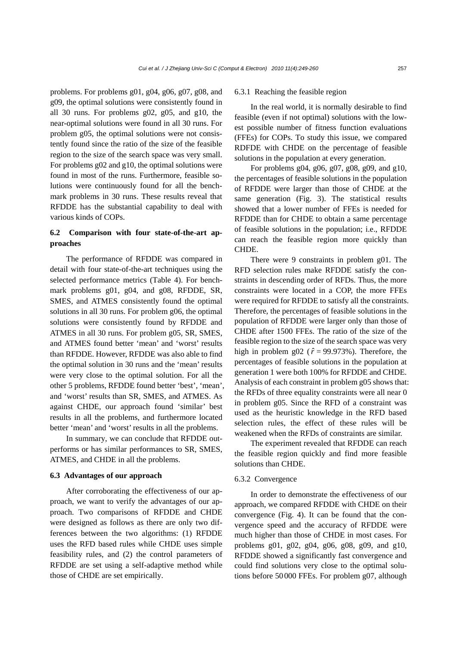problems. For problems g01, g04, g06, g07, g08, and g09, the optimal solutions were consistently found in all 30 runs. For problems g02, g05, and g10, the near-optimal solutions were found in all 30 runs. For problem g05, the optimal solutions were not consistently found since the ratio of the size of the feasible region to the size of the search space was very small. For problems g02 and g10, the optimal solutions were found in most of the runs. Furthermore, feasible solutions were continuously found for all the benchmark problems in 30 runs. These results reveal that RFDDE has the substantial capability to deal with various kinds of COPs.

# **6.2 Comparison with four state-of-the-art approaches**

The performance of RFDDE was compared in detail with four state-of-the-art techniques using the selected performance metrics (Table 4). For benchmark problems g01, g04, and g08, RFDDE, SR, SMES, and ATMES consistently found the optimal solutions in all 30 runs. For problem g06, the optimal solutions were consistently found by RFDDE and ATMES in all 30 runs. For problem g05, SR, SMES, and ATMES found better 'mean' and 'worst' results than RFDDE. However, RFDDE was also able to find the optimal solution in 30 runs and the 'mean' results were very close to the optimal solution. For all the other 5 problems, RFDDE found better 'best', 'mean', and 'worst' results than SR, SMES, and ATMES. As against CHDE, our approach found 'similar' best results in all the problems, and furthermore located better 'mean' and 'worst' results in all the problems.

In summary, we can conclude that RFDDE outperforms or has similar performances to SR, SMES, ATMES, and CHDE in all the problems.

## **6.3 Advantages of our approach**

After corroborating the effectiveness of our approach, we want to verify the advantages of our approach. Two comparisons of RFDDE and CHDE were designed as follows as there are only two differences between the two algorithms: (1) RFDDE uses the RFD based rules while CHDE uses simple feasibility rules, and (2) the control parameters of RFDDE are set using a self-adaptive method while those of CHDE are set empirically.

### 6.3.1 Reaching the feasible region

In the real world, it is normally desirable to find feasible (even if not optimal) solutions with the lowest possible number of fitness function evaluations (FFEs) for COPs. To study this issue, we compared RDFDE with CHDE on the percentage of feasible solutions in the population at every generation.

For problems g04, g06, g07, g08, g09, and g10, the percentages of feasible solutions in the population of RFDDE were larger than those of CHDE at the same generation (Fig. 3). The statistical results showed that a lower number of FFEs is needed for RFDDE than for CHDE to obtain a same percentage of feasible solutions in the population; i.e., RFDDE can reach the feasible region more quickly than CHDE.

There were 9 constraints in problem g01. The RFD selection rules make RFDDE satisfy the constraints in descending order of RFDs. Thus, the more constraints were located in a COP, the more FFEs were required for RFDDE to satisfy all the constraints. Therefore, the percentages of feasible solutions in the population of RFDDE were larger only than those of CHDE after 1500 FFEs. The ratio of the size of the feasible region to the size of the search space was very high in problem g02 ( $\hat{r}$  = 99.973%). Therefore, the percentages of feasible solutions in the population at generation 1 were both 100% for RFDDE and CHDE. Analysis of each constraint in problem g05 shows that: the RFDs of three equality constraints were all near 0 in problem g05. Since the RFD of a constraint was used as the heuristic knowledge in the RFD based selection rules, the effect of these rules will be weakened when the RFDs of constraints are similar.

The experiment revealed that RFDDE can reach the feasible region quickly and find more feasible solutions than CHDE.

#### 6.3.2 Convergence

In order to demonstrate the effectiveness of our approach, we compared RFDDE with CHDE on their convergence (Fig. 4). It can be found that the convergence speed and the accuracy of RFDDE were much higher than those of CHDE in most cases. For problems g01, g02, g04, g06, g08, g09, and g10, RFDDE showed a significantly fast convergence and could find solutions very close to the optimal solutions before 50000 FFEs. For problem g07, although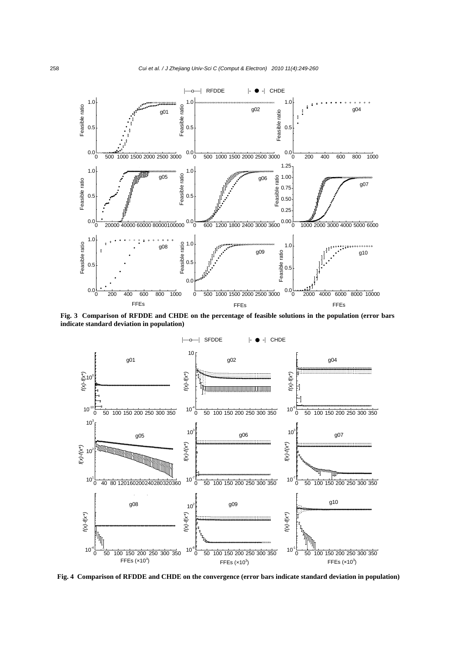

**Fig. 3 Comparison of RFDDE and CHDE on the percentage of feasible solutions in the population (error bars indicate standard deviation in population)**



**Fig. 4 Comparison of RFDDE and CHDE on the convergence (error bars indicate standard deviation in population)**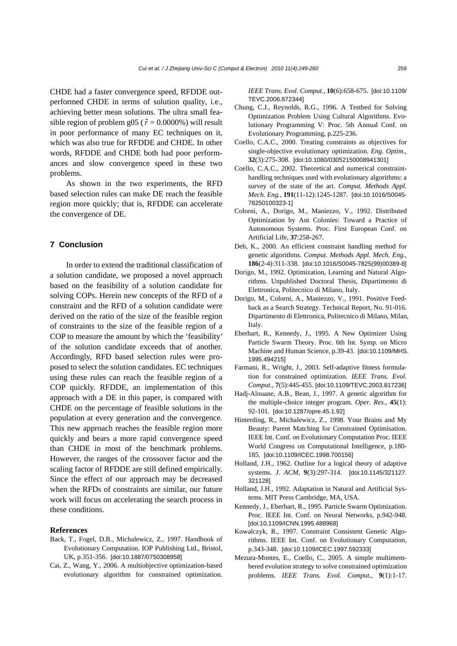CHDE had a faster convergence speed, RFDDE outperformed CHDE in terms of solution quality, i.e., achieving better mean solutions. The ultra small feasible region of problem g05 ( $\hat{r}$  = 0.0000%) will result in poor performance of many EC techniques on it, which was also true for RFDDE and CHDE. In other words, RFDDE and CHDE both had poor performances and slow convergence speed in these two problems.

As shown in the two experiments, the RFD based selection rules can make DE reach the feasible region more quickly; that is, RFDDE can accelerate the convergence of DE.

## **7 Conclusion**

In order to extend the traditional classification of a solution candidate, we proposed a novel approach based on the feasibility of a solution candidate for solving COPs. Herein new concepts of the RFD of a constraint and the RFD of a solution candidate were derived on the ratio of the size of the feasible region of constraints to the size of the feasible region of a COP to measure the amount by which the 'feasibility' of the solution candidate exceeds that of another. Accordingly, RFD based selection rules were proposed to select the solution candidates. EC techniques using these rules can reach the feasible region of a COP quickly. RFDDE, an implementation of this approach with a DE in this paper, is compared with CHDE on the percentage of feasible solutions in the population at every generation and the convergence. This new approach reaches the feasible region more quickly and bears a more rapid convergence speed than CHDE in most of the benchmark problems. However, the ranges of the crossover factor and the scaling factor of RFDDE are still defined empirically. Since the effect of our approach may be decreased when the RFDs of constraints are similar, our future work will focus on accelerating the search process in these conditions.

## **References**

- Back, T., Fogel, D.B., Michalewicz, Z., 1997. Handbook of Evolutionary Computation. IOP Publishing Ltd., Bristol, UK, p.351-356. [doi:10.1887/0750308958]
- Cai, Z., Wang, Y., 2006. A multiobjective optimization-based evolutionary algorithm for constrained optimization.

*IEEE Trans. Evol. Comput.*, **10**(6):658-675. [doi:10.1109/ TEVC.2006.872344]

- Chung, C.J., Reynolds, R.G., 1996. A Testbed for Solving Optimization Problem Using Cultural Algorithms. Evolutionary Programming V: Proc. 5th Annual Conf. on Evolutionary Programming, p.225-236.
- Coello, C.A.C., 2000. Treating constraints as objectives for single-objective evolutionary optimization. *Eng. Optim.*, **32**(3):275-308. [doi:10.1080/03052150008941301]
- Coello, C.A.C., 2002. Theoretical and numerical constrainthandling techniques used with evolutionary algorithms: a survey of the state of the art. *Comput. Methods Appl. Mech. Eng.*, **191**(11-12):1245-1287. [doi:10.1016/S0045- 78250100323-1]
- Colorni, A., Dorigo, M., Maniezzo, V., 1992. Distributed Optimization by Ant Colonies: Toward a Practice of Autonomous Systems. Proc. First European Conf. on Artificial Life, **37**:258-267.
- Deb, K., 2000. An efficient constraint handling method for genetic algorithms. *Comput. Methods Appl. Mech. Eng.*, **186**(2-4):311-338. [doi:10.1016/S0045-7825(99)00389-8]
- Dorigo, M., 1992. Optimization, Learning and Natural Algorithms. Unpublished Doctoral Thesis, Dipartimento di Elettronica, Politecnico di Milano, Italy.
- Dorigo, M., Colorni, A., Maniezzo, V., 1991. Positive Feedback as a Search Strategy. Technical Report, No. 91-016. Dipartimento di Elettronica, Politecnico di Milano, Milan, Italy.
- Eberhart, R., Kennedy, J., 1995. A New Optimizer Using Particle Swarm Theory. Proc. 6th Int. Symp. on Micro Machine and Human Science, p.39-43. [doi:10.1109/MHS. 1995.494215]
- Farmani, R., Wright, J., 2003. Self-adaptive fitness formulation for constrained optimization. *IEEE Trans. Evol. Comput.*, **7**(5):445-455. [doi:10.1109/TEVC.2003.817236]
- Hadj-Alouane, A.B., Bean, J., 1997. A genetic algorithm for the multiple-choice integer program. *Oper. Res.*, **45**(1): 92-101. [doi:10.1287/opre.45.1.92]
- Hinterding, R., Michalewicz, Z., 1998. Your Brains and My Beauty: Parent Matching for Constrained Optimisation. IEEE Int. Conf. on Evolutionary Computation Proc. IEEE World Congress on Computational Intelligence, p.180- 185. [doi:10.1109/ICEC.1998.700156]
- Holland, J.H., 1962. Outline for a logical theory of adaptive systems. *J. ACM*, **9**(3):297-314. [doi:10.1145/321127. 321128]
- Holland, J.H., 1992. Adaptation in Natural and Artificial Systems. MIT Press Cambridge, MA, USA.
- Kennedy, J., Eberhart, R., 1995. Particle Swarm Optimization. Proc. IEEE Int. Conf. on Neural Networks, p.942-948. [doi:10.1109/ICNN.1995.488968]
- Kowalczyk, R., 1997. Constraint Consistent Genetic Algorithms. IEEE Int. Conf. on Evolutionary Computation, p.343-348. [doi:10.1109/ICEC.1997.592333]
- Mezura-Montes, E., Coello, C., 2005. A simple multimembered evolution strategy to solve constrained optimization problems. *IEEE Trans. Evol. Comput.*, **9**(1):1-17.